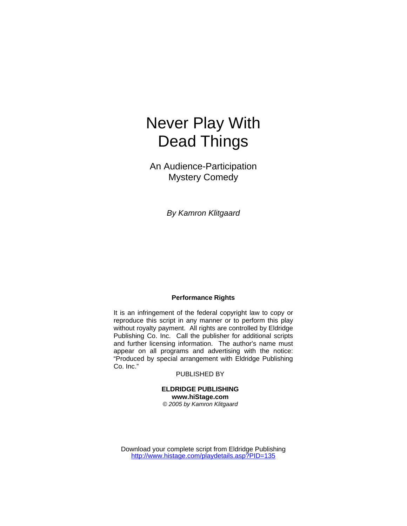# Never Play With Dead Things

An Audience-Participation Mystery Comedy

*By Kamron Klitgaard* 

## **Performance Rights**

It is an infringement of the federal copyright law to copy or reproduce this script in any manner or to perform this play without royalty payment. All rights are controlled by Eldridge Publishing Co. Inc. Call the publisher for additional scripts and further licensing information. The author's name must appear on all programs and advertising with the notice: "Produced by special arrangement with Eldridge Publishing Co. Inc."

#### PUBLISHED BY

**ELDRIDGE PUBLISHING www.hiStage.com**  *© 2005 by Kamron Klitgaard* 

Download your complete script from Eldridge Publishing <http://www.histage.com/playdetails.asp?PID=135>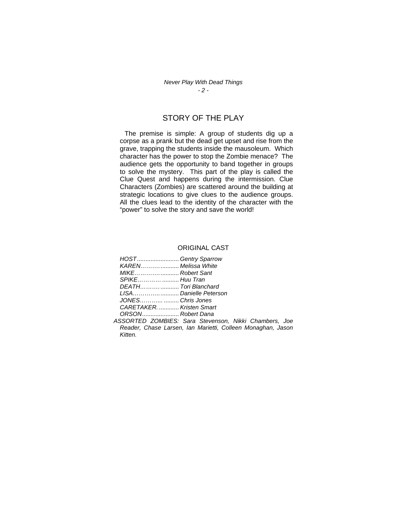*Never Play With Dead Things - 2 -* 

# STORY OF THE PLAY

 The premise is simple: A group of students dig up a corpse as a prank but the dead get upset and rise from the grave, trapping the students inside the mausoleum. Which character has the power to stop the Zombie menace? The audience gets the opportunity to band together in groups to solve the mystery. This part of the play is called the Clue Quest and happens during the intermission. Clue Characters (Zombies) are scattered around the building at strategic locations to give clues to the audience groups. All the clues lead to the identity of the character with the "power" to solve the story and save the world!

#### ORIGINAL CAST

| HOSTGentry Sparrow        |
|---------------------------|
| KAREN Melissa White       |
| MIKERobert Sant           |
|                           |
| DEATHTori Blanchard       |
|                           |
| JONES  Chris Jones        |
| CARETAKER.  Kristen Smart |
| ORSON Robert Dana         |

*ASSORTED ZOMBIES: Sara Stevenson, Nikki Chambers, Joe Reader, Chase Larsen, Ian Marietti, Colleen Monaghan, Jason Kitten.*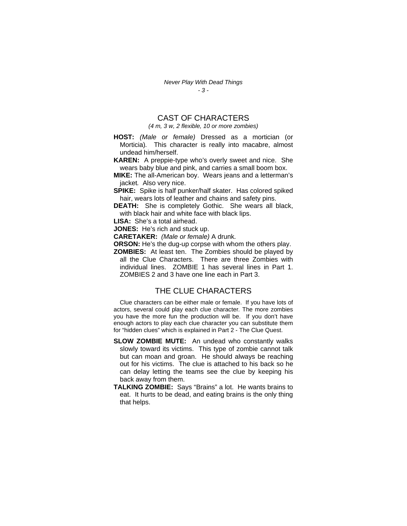# CAST OF CHARACTERS *(4 m, 3 w, 2 flexible, 10 or more zombies)*

- **HOST:** *(Male or female)* Dressed as a mortician (or Morticia)*.* This character is really into macabre, almost undead him/herself.
- **KAREN:** A preppie-type who's overly sweet and nice. She wears baby blue and pink, and carries a small boom box.
- **MIKE:** The all-American boy. Wears jeans and a letterman's jacket*.* Also very nice.
- **SPIKE:** Spike is half punker/half skater. Has colored spiked hair, wears lots of leather and chains and safety pins.
- **DEATH:** She is completely Gothic. She wears all black, with black hair and white face with black lips.

**LISA:** She's a total airhead.

**JONES:** He's rich and stuck up.

**CARETAKER:** *(Male or female)* A drunk*.* 

**ORSON:** He's the dug-up corpse with whom the others play.

**ZOMBIES:** At least ten. The Zombies should be played by all the Clue Characters. There are three Zombies with individual lines.ZOMBIE 1 has several lines in Part 1. ZOMBIES 2 and 3 have one line each in Part 3.

## THE CLUE CHARACTERS

Clue characters can be either male or female. If you have lots of actors, several could play each clue character*.* The more zombies you have the more fun the production will be. If you don't have enough actors to play each clue character you can substitute them for "hidden clues" which is explained in Part 2 - The Clue Quest.

- **SLOW ZOMBIE MUTE:** An undead who constantly walks slowly toward its victims. This type of zombie cannot talk but can moan and groan. He should always be reaching out for his victims. The clue is attached to his back so he can delay letting the teams see the clue by keeping his back away from them.
- **TALKING ZOMBIE:** Says "Brains" a lot. He wants brains to eat. It hurts to be dead, and eating brains is the only thing that helps.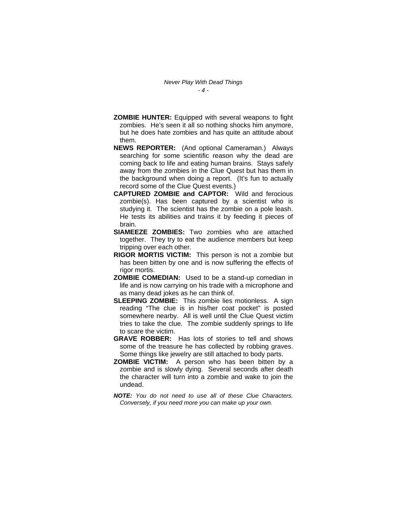- **ZOMBIE HUNTER:** Equipped with several weapons to fight zombies. He's seen it all so nothing shocks him anymore, but he does hate zombies and has quite an attitude about them.
- **NEWS REPORTER:** (And optional Cameraman.)Always searching for some scientific reason why the dead are coming back to life and eating human brains. Stays safely away from the zombies in the Clue Quest but has them in the background when doing a report. (It's fun to actually record some of the Clue Quest events.)
- **CAPTURED ZOMBIE and CAPTOR:** Wild and ferocious zombie(s). Has been captured by a scientist who is studying it. The scientist has the zombie on a pole leash. He tests its abilities and trains it by feeding it pieces of brain.
- **SIAMEEZE ZOMBIES:** Two zombies who are attached together. They try to eat the audience members but keep tripping over each other.
- **RIGOR MORTIS VICTIM:** This person is not a zombie but has been bitten by one and is now suffering the effects of rigor mortis.
- **ZOMBIE COMEDIAN:** Used to be a stand-up comedian in life and is now carrying on his trade with a microphone and as many dead jokes as he can think of.
- **SLEEPING ZOMBIE:** This zombie lies motionless. A sign reading "The clue is in his/her coat pocket" is posted somewhere nearby. All is well until the Clue Quest victim tries to take the clue. The zombie suddenly springs to life to scare the victim.
- **GRAVE ROBBER:** Has lots of stories to tell and shows some of the treasure he has collected by robbing graves. Some things like jewelry are still attached to body parts.
- **ZOMBIE VICTIM:** A person who has been bitten by a zombie and is slowly dying. Several seconds after death the character will turn into a zombie and wake to join the undead.
- *NOTE: You do not need to use all of these Clue Characters. Conversely, if you need more you can make up your own.*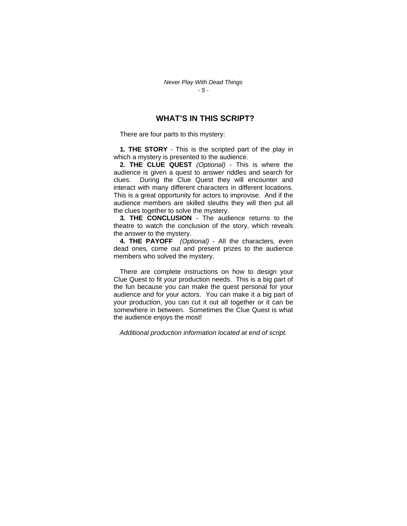## **WHAT'S IN THIS SCRIPT?**

There are four parts to this mystery:

**1***.* **THE STORY** - This is the scripted part of the play in which a mystery is presented to the audience.

**2***.* **THE CLUE QUEST** *(Optional)* - This is where the audience is given a quest to answer riddles and search for clues. During the Clue Quest they will encounter and interact with many different characters in different locations. This is a great opportunity for actors to improvise. And if the audience members are skilled sleuths they will then put all the clues together to solve the mystery.

**3***.* **THE CONCLUSION** - The audience returns to the theatre to watch the conclusion of the story, which reveals the answer to the mystery.

**4***.* **THE PAYOFF** *(Optional)* - All the characters*,* even dead ones*,* come out and present prizes to the audience members who solved the mystery.

There are complete instructions on how to design your Clue Quest to fit your production needs. This is a big part of the fun because you can make the quest personal for your audience and for your actors. You can make it a big part of your production, you can cut it out all together or it can be somewhere in between. Sometimes the Clue Quest is what the audience enjoys the most!

*Additional production information located at end of script.*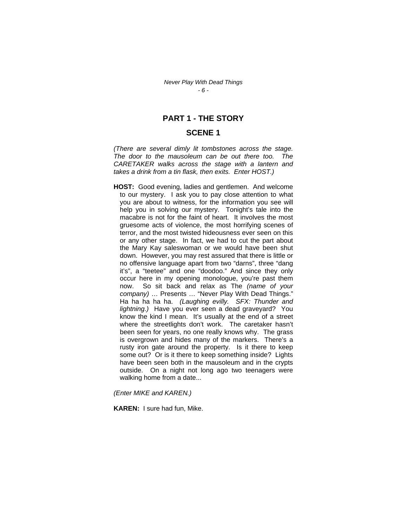## **PART 1 - THE STORY**

## **SCENE 1**

*(There are several dimly lit tombstones across the stage. The door to the mausoleum can be out there too. The CARETAKER walks across the stage with a lantern and takes a drink from a tin flask, then exits. Enter HOST.)* 

**HOST:** Good evening, ladies and gentlemen. And welcome to our mystery. I ask you to pay close attention to what you are about to witness, for the information you see will help you in solving our mystery. Tonight's tale into the macabre is not for the faint of heart. It involves the most gruesome acts of violence, the most horrifying scenes of terror, and the most twisted hideousness ever seen on this or any other stage. In fact, we had to cut the part about the Mary Kay saleswoman or we would have been shut down. However, you may rest assured that there is little or no offensive language apart from two "darns", three "dang it's", a "teetee" and one "doodoo." And since they only occur here in my opening monologue, you're past them now. So sit back and relax as The *(name of your company)* … Presents … "Never Play With Dead Things." Ha ha ha ha ha. *(Laughing evilly. SFX: Thunder and lightning.)* Have you ever seen a dead graveyard? You know the kind I mean. It's usually at the end of a street where the streetlights don't work. The caretaker hasn't been seen for years, no one really knows why. The grass is overgrown and hides many of the markers. There's a rusty iron gate around the property. Is it there to keep some out? Or is it there to keep something inside? Lights have been seen both in the mausoleum and in the crypts outside. On a night not long ago two teenagers were walking home from a date...

*(Enter MIKE and KAREN.)* 

**KAREN:** I sure had fun, Mike.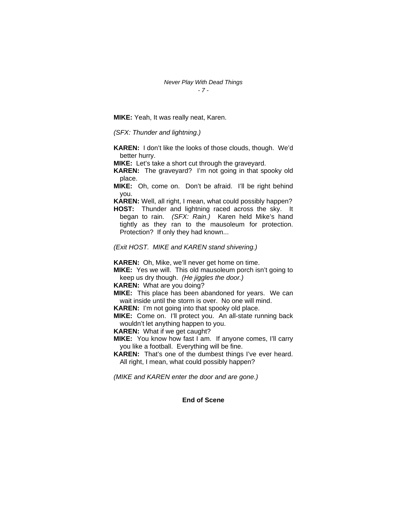**MIKE:** Yeah, It was really neat, Karen.

*(SFX: Thunder and lightning.)* 

**KAREN:** I don't like the looks of those clouds, though. We'd better hurry.

**MIKE:** Let's take a short cut through the graveyard.

**KAREN:** The graveyard? I'm not going in that spooky old place.

**MIKE:** Oh, come on. Don't be afraid. I'll be right behind you.

**KAREN:** Well, all right, I mean, what could possibly happen?

**HOST:** Thunder and lightning raced across the sky. It began to rain. *(SFX: Rain.)* Karen held Mike's hand tightly as they ran to the mausoleum for protection. Protection? If only they had known...

*(Exit HOST. MIKE and KAREN stand shivering.)* 

**KAREN:** Oh, Mike, we'll never get home on time.

**MIKE:** Yes we will. This old mausoleum porch isn't going to keep us dry though. *(He jiggles the door.)* 

**KAREN:** What are you doing?

**MIKE:** This place has been abandoned for years. We can wait inside until the storm is over. No one will mind.

**KAREN:** I'm not going into that spooky old place.

**MIKE:** Come on. I'll protect you. An all-state running back wouldn't let anything happen to you.

**KAREN:** What if we get caught?

**MIKE:** You know how fast I am. If anyone comes, I'll carry you like a football. Everything will be fine.

**KAREN:** That's one of the dumbest things I've ever heard. All right, I mean, what could possibly happen?

*(MIKE and KAREN enter the door and are gone.)* 

#### **End of Scene**